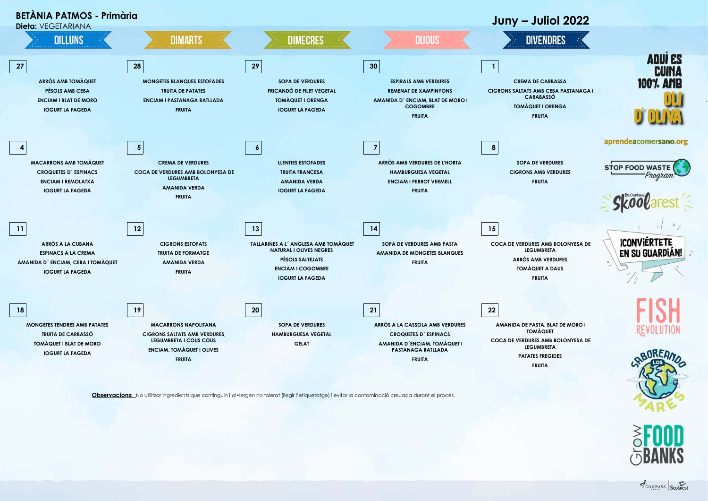

**Observacions:** No utilitzar ingredients que continguin l'al•lergen no tolerat (llegir l'etiquetatge) i evitar la contaminació creuada durant el procés.